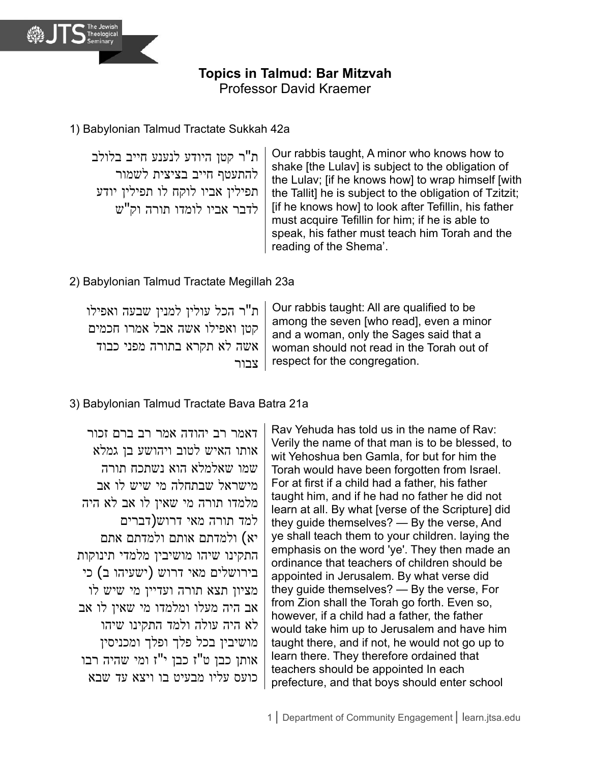

**Topics in Talmud: Bar Mitzvah**

Professor David Kraemer

# 1) Babylonian Talmud Tractate Sukkah 42a

ת"ר קטן היודע לנענע חייב בלולב להתעטף חייב בציצית לשמור תפילין אביו לוקח לו תפילין יודע לדבר אביו לומדו תורה וק"ש

Our rabbis taught, A minor who knows how to shake [the Lulav] is subject to the obligation of the Lulav; [if he knows how] to wrap himself [with the Tallit] he is subject to the obligation of Tzitzit; [if he knows how] to look after Tefillin, his father must acquire Tefillin for him; if he is able to speak, his father must teach him Torah and the reading of the Shema'.

## 2) Babylonian Talmud Tractate Megillah 23a

ת"ר הכל עולין למנין שבעה ואפילו קטן ואפילו אשה אבל אמרו חכמים אשה לא תקרא בתורה מפני כבוד צבור Our rabbis taught: All are qualified to be among the seven [who read], even a minor and a woman, only the Sages said that a woman should not read in the Torah out of respect for the congregation.

# 3) Babylonian Talmud Tractate Bava Batra 21a

דאמר רב יהודה אמר רב ברם זכור אותו האיש לטוב ויהושע בן גמלא שמו שאלמלא הוא נשתכח תורה מישראל שבתחלה מי שיש לו אב מלמדו תורה מי שאין לו אב לא היה למד תורה מאי דרוש)דברים יא) ולמדתם אותם ולמדתם אתם התקינו שיהו מושיבין מלמדי תינוקות בירושלים מאי דרוש )ישעיהו ב( כי מציון תצא תורה ועדיין מי שיש לו אב היה מעלו ומלמדו מי שאין לו אב לא היה עולה ולמד התקינו שיהו מושיבין בכל פלך ופלך ומכניסין אותן כבן ט"ז כבן י"ז ומי שהיה רבו כועס עליו מבעיט בו ויצא עד שבא

Rav Yehuda has told us in the name of Rav: Verily the name of that man is to be blessed, to wit Yehoshua ben Gamla, for but for him the Torah would have been forgotten from Israel. For at first if a child had a father, his father taught him, and if he had no father he did not learn at all. By what [verse of the Scripture] did they guide themselves? — By the verse, And ye shall teach them to your children. laying the emphasis on the word 'ye'. They then made an ordinance that teachers of children should be appointed in Jerusalem. By what verse did they guide themselves? — By the verse, For from Zion shall the Torah go forth. Even so, however, if a child had a father, the father would take him up to Jerusalem and have him taught there, and if not, he would not go up to learn there. They therefore ordained that teachers should be appointed In each prefecture, and that boys should enter school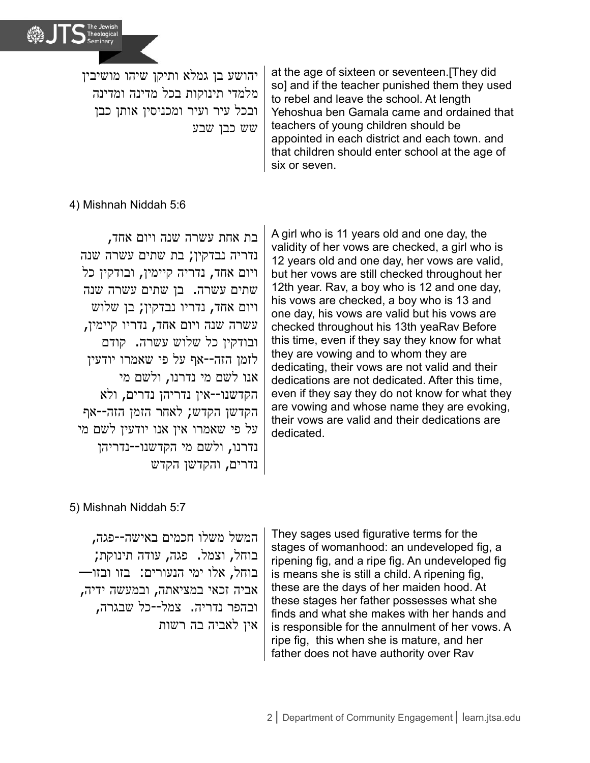

יהושע בן גמלא ותיקן שיהו מושיבין מלמדי תינוקות בכל מדינה ומדינה ובכל עיר ועיר ומכניסין אותן כבן שש כבן שבע

at the age of sixteen or seventeen.[They did so] and if the teacher punished them they used to rebel and leave the school. At length Yehoshua ben Gamala came and ordained that teachers of young children should be appointed in each district and each town. and that children should enter school at the age of six or seven.

### 4) Mishnah Niddah 5:6

בת אחת עשרה שנה ויום אחד, נדריה נבדקין; בת שתים עשרה שנה ויום אחד, נדריה קיימין, ובודקין כל שתים עשרה. בן שתים עשרה שנה ויום אחד, נדריו נבדקין; בן שלוש עשרה שנה ויום אחד, נדריו קיימין, ובודקין כל שלוש עשרה. קודם לזמן הזה--אף על פי שאמרו יודעין אנו לשם מי נדרנו, ולשם מי הקדשנו--אין נדריהן נדרים, ולא הקדשן הקדש; לאחר הזמן הזה--אף על פי שאמרו אין אנו יודעין לשם מי נדרנו, ולשם מי הקדשנו--נדריהן נדרים, והקדשן הקדש

A girl who is 11 years old and one day, the validity of her vows are checked, a girl who is 12 years old and one day, her vows are valid, but her vows are still checked throughout her 12th year. Rav, a boy who is 12 and one day, his vows are checked, a boy who is 13 and one day, his vows are valid but his vows are checked throughout his 13th yeaRav Before this time, even if they say they know for what they are vowing and to whom they are dedicating, their vows are not valid and their dedications are not dedicated. After this time, even if they say they do not know for what they are vowing and whose name they are evoking, their vows are valid and their dedications are dedicated.

### 5) Mishnah Niddah 5:7

המשל משלו חכמים באישה--פגה, בוחל, וצמל. פגה, עודה תינוקת; בוחל, אלו ימי הנעורים: בזו ובזו— אביה זכאי במציאתה, ובמעשה ידיה, ובהפר נדריה. צמל--כל שבגרה, אין לאביה בה רשות

They sages used figurative terms for the stages of womanhood: an undeveloped fig, a ripening fig, and a ripe fig. An undeveloped fig is means she is still a child. A ripening fig, these are the days of her maiden hood. At these stages her father possesses what she finds and what she makes with her hands and is responsible for the annulment of her vows. A ripe fig, this when she is mature, and her father does not have authority over Rav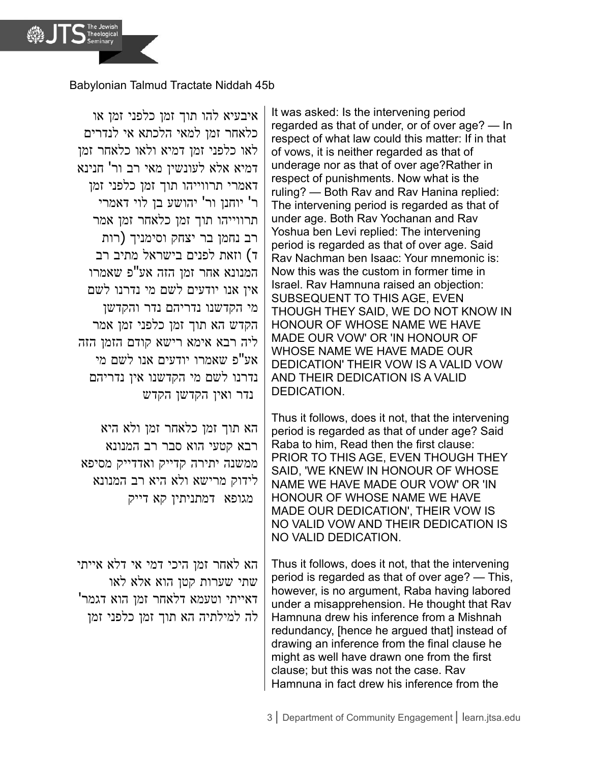Babylonian Talmud Tractate Niddah 45b

איבעיא להו תוך זמן כלפני זמן או כלאחר זמן למאי הלכתא אי לנדרים לאו כלפני זמן דמיא ולאו כלאחר זמן דמיא אלא לעונשין מאי רב ור' חנינא דאמרי תרווייהו תוך זמן כלפני זמן ר' יוחנן ור' יהושע בן לוי דאמרי תרווייהו תוך זמן כלאחר זמן אמר רב נחמן בר יצחק וסימניך )רות ד) וזאת לפנים בישראל מתיב רב המנונא אחר זמן הזה אע"פ שאמרו אין אנו יודעים לשם מי נדרנו לשם מי הקדשנו נדריהם נדר והקדשן הקדש הא תוך זמן כלפני זמן אמר ליה רבא אימא רישא קודם הזמן הזה אע"פ שאמרו יודעים אנו לשם מי נדרנו לשם מי הקדשנו אין נדריהם נדר ואין הקדשן הקדש

הא תוך זמן כלאחר זמן ולא היא רבא קטעי הוא סבר רב המנונא ממשנה יתירה קדייק ואדדייק מסיפא לידוק מרישא ולא היא רב המנונא מגופא דמתניתין קא דייק

הא לאחר זמן היכי דמי אי דלא אייתי שתי שערות קטן הוא אלא לאו דאייתי וטעמא דלאחר זמן הוא דגמר' לה למילתיה הא תוך זמן כלפני זמן It was asked: Is the intervening period regarded as that of under, or of over age? — In respect of what law could this matter: If in that of vows, it is neither regarded as that of underage nor as that of over age?Rather in respect of punishments. Now what is the ruling? — Both Rav and Rav Hanina replied: The intervening period is regarded as that of under age. Both Rav Yochanan and Rav Yoshua ben Levi replied: The intervening period is regarded as that of over age. Said Rav Nachman ben Isaac: Your mnemonic is: Now this was the custom in former time in Israel. Rav Hamnuna raised an objection: SUBSEQUENT TO THIS AGE, EVEN THOUGH THEY SAID, WE DO NOT KNOW IN HONOUR OF WHOSE NAME WE HAVE MADE OUR VOW' OR 'IN HONOUR OF WHOSE NAME WE HAVE MADE OUR DEDICATION' THEIR VOW IS A VALID VOW AND THEIR DEDICATION IS A VALID DEDICATION.

Thus it follows, does it not, that the intervening period is regarded as that of under age? Said Raba to him, Read then the first clause: PRIOR TO THIS AGE, EVEN THOUGH THEY SAID, 'WE KNEW IN HONOUR OF WHOSE NAME WE HAVE MADE OUR VOW' OR 'IN HONOUR OF WHOSE NAME WE HAVE MADE OUR DEDICATION', THEIR VOW IS NO VALID VOW AND THEIR DEDICATION IS NO VALID DEDICATION.

Thus it follows, does it not, that the intervening period is regarded as that of over age? — This, however, is no argument, Raba having labored under a misapprehension. He thought that Rav Hamnuna drew his inference from a Mishnah redundancy, [hence he argued that] instead of drawing an inference from the final clause he might as well have drawn one from the first clause; but this was not the case. Rav Hamnuna in fact drew his inference from the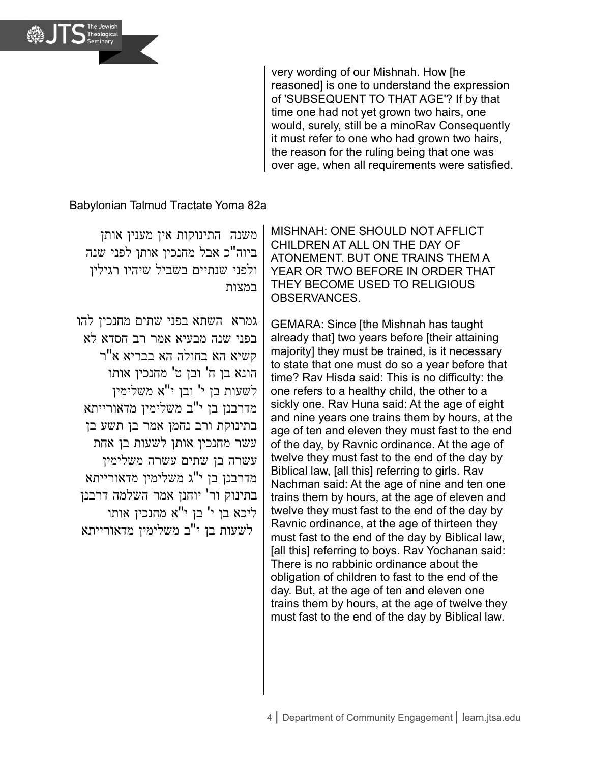

very wording of our Mishnah. How [he reasoned] is one to understand the expression of 'SUBSEQUENT TO THAT AGE'? If by that time one had not yet grown two hairs, one would, surely, still be a minoRav Consequently it must refer to one who had grown two hairs, the reason for the ruling being that one was over age, when all requirements were satisfied.

Babylonian Talmud Tractate Yoma 82a

משנה התינוקות אין מענין אותן ביוה"כ אבל מחנכין אותן לפני שנה ולפני שנתיים בשביל שיהיו רגילין במצות

גמרא השתא בפני שתים מחנכין להו בפני שנה מבעיא אמר רב חסדא לא קשיא הא בחולה הא בבריא א"ר הונא בן ח' ובן ט' מחנכין אותו לשעות בן י' ובן י"א משלימין מדרבנן בן י"ב משלימין מדאורייתא בתינוקת ורב נחמן אמר בן תשע בן עשר מחנכין אותן לשעות בן אחת עשרה בן שתים עשרה משלימין מדרבנן בן י"ג משלימין מדאורייתא בתינוק ור' יוחנן אמר השלמה דרבנן ליכא בן י' בן י"א מחנכין אותו לשעות בן י"ב משלימין מדאורייתא

MISHNAH: ONE SHOULD NOT AFFLICT CHILDREN AT ALL ON THE DAY OF ATONEMENT. BUT ONE TRAINS THEM A YEAR OR TWO BEFORE IN ORDER THAT THEY BECOME USED TO RELIGIOUS OBSERVANCES.

GEMARA: Since [the Mishnah has taught already that] two years before [their attaining majority] they must be trained, is it necessary to state that one must do so a year before that time? Rav Hisda said: This is no difficulty: the one refers to a healthy child, the other to a sickly one. Rav Huna said: At the age of eight and nine years one trains them by hours, at the age of ten and eleven they must fast to the end of the day, by Ravnic ordinance. At the age of twelve they must fast to the end of the day by Biblical law, [all this] referring to girls. Rav Nachman said: At the age of nine and ten one trains them by hours, at the age of eleven and twelve they must fast to the end of the day by Ravnic ordinance, at the age of thirteen they must fast to the end of the day by Biblical law, [all this] referring to boys. Rav Yochanan said: There is no rabbinic ordinance about the obligation of children to fast to the end of the day. But, at the age of ten and eleven one trains them by hours, at the age of twelve they must fast to the end of the day by Biblical law.